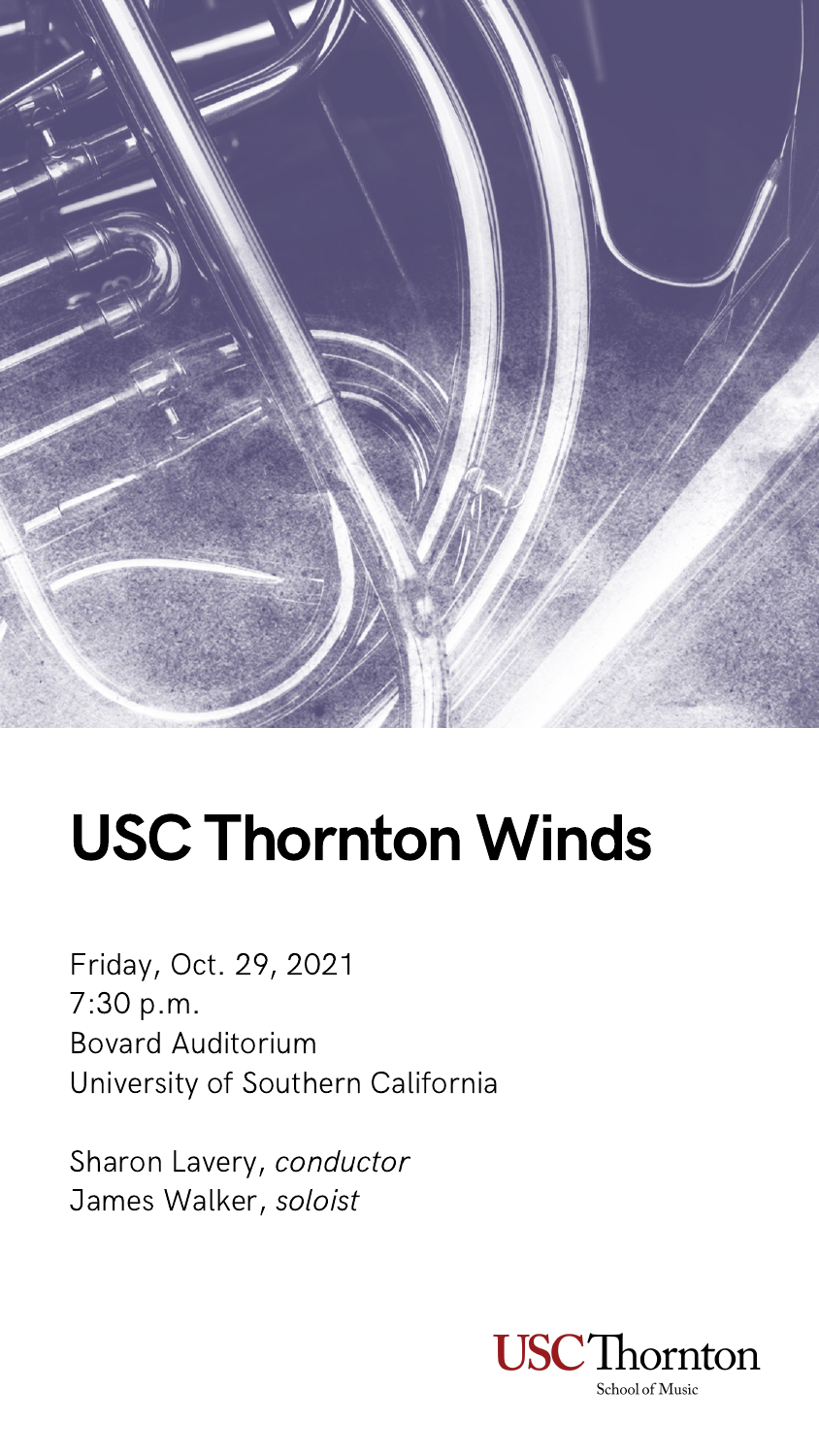Friday, Oct. 29, 2021 7:30 p.m. Bovard Auditorium University of Southern California

Sharon Lavery, conductor James Walker, soloist



School of Music



# USC Thornton Winds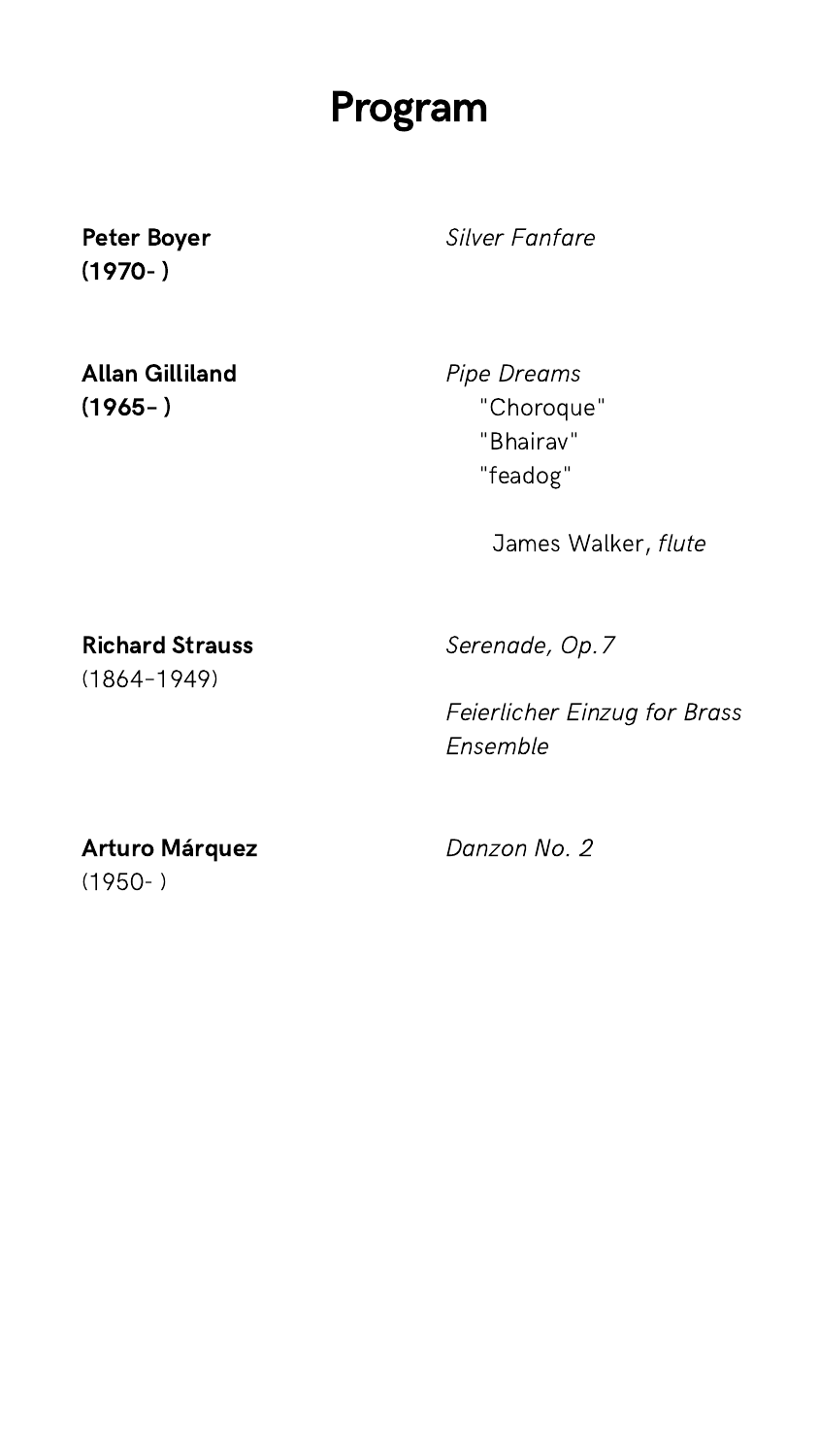Silver Fanfare

Pipe Dreams "Choroque " "Bhairav " "feadog"

James Walker, flute

Allan Gilliland  $(1965 - )$ 

Serenade, Op.7

Feierlicher Einzug for Brass Ensemble

Danzon No. 2

#### Peter Boyer (1970- )

#### Richard Strauss

(1864–1949)

#### Arturo Márquez

 $(1950 - )$ 

### Program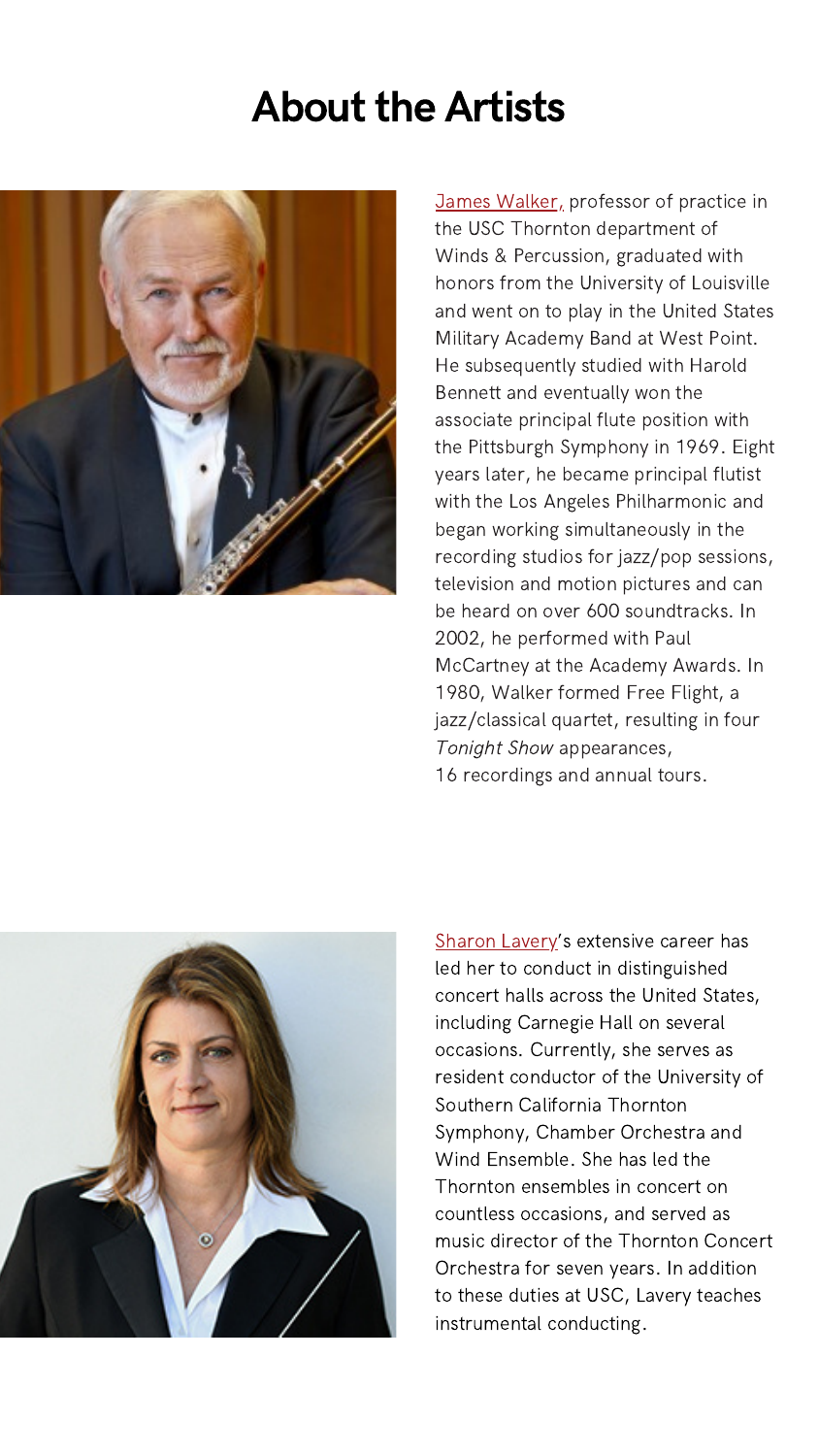### **About the Artists**



James [Walker,](https://music.usc.edu/james-walker/) professor of practice in the USC Thornton department of Winds & Percussion, graduated with honors from the University of Louisville and went on to play in the United States Military Academy Band at West Point. He subsequently studied with Harold Bennett and eventually won the associate principal flute position with the Pittsburgh Symphony in 1969. Eight years later, he became principal flutist with the Los Angeles Philharmonic and began working simultaneously in the recording studios for jazz/pop sessions, television and motion pictures and can be heard on over 600 soundtracks. In 2002, he performed with Paul McCartney at the Academy Awards. In 1980, Walker formed Free Flight, a [jazz/classical](https://music.usc.edu/lucinda-carver/) quartet, resulting in four [Tonight](https://music.usc.edu/lucinda-carver/) Show [appearances,](https://music.usc.edu/lucinda-carver/) 16 [recordings](https://music.usc.edu/lucinda-carver/) and annual tours.



Sharon [Lavery'](https://music.usc.edu/sharon-lavery/)s extensive career has led her to conduct in distinguished concert halls across the United States, including Carnegie Hall on several occasions. Currently, she serves as resident conductor of the University of Southern California Thornton Symphony, Chamber Orchestra and Wind Ensemble. She has led the Thornton ensembles in concert on countless occasions, and served as music director of the Thornton Concert Orchestra for seven years. In addition to these duties at USC, Lavery teaches instrumental conducting.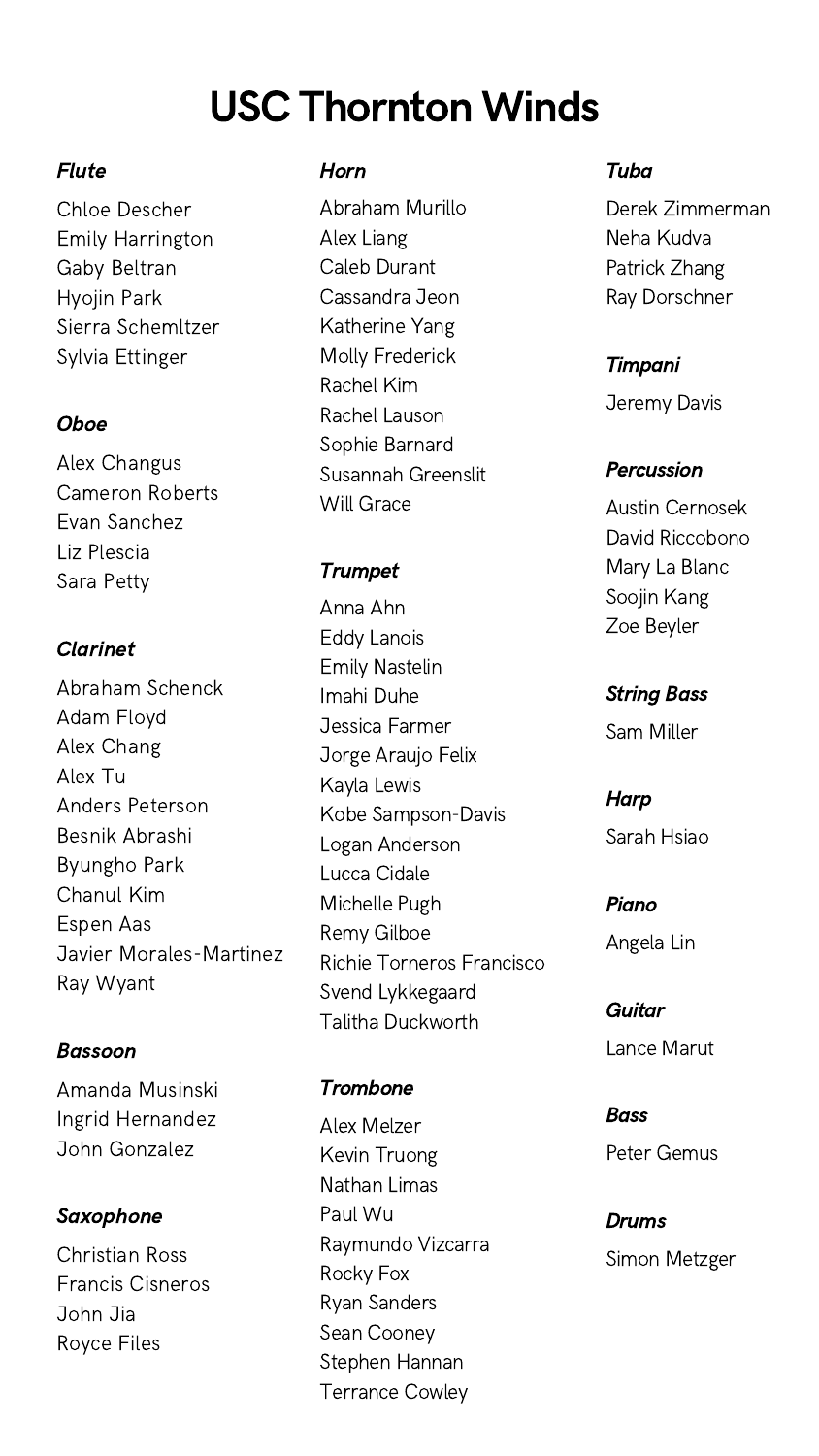### USC Thornton Winds

#### Flute

Chloe Descher Emily Harrington Gaby Beltran Hyojin Park Sierra Schemltzer Sylvia Ettinger

#### **Oboe**

Alex Changus Cameron Roberts Evan Sanchez Liz Plescia Sara Petty

#### Clarinet

Abraham Schenck Adam Floyd Alex Chang Alex Tu Anders Peterson Besnik Abrashi Byungho Park Chanul Kim Espen Aas Javier Morales-Martinez Ray Wyant

#### Bassoon

Amanda Musinski Ingrid Hernandez John Gonzalez

#### Saxophone

Christian Ross Francis Cisneros John Jia Royce Files

#### **Trombone**

#### Horn

Abraham Murillo Alex Liang Caleb Durant Cassandra Jeon Katherine Yang Molly Frederick Rachel Kim Rachel Lauson Sophie Barnard Susannah Greenslit Will Grace

#### **Trumpet**

Anna Ahn Eddy Lanois Emily Nastelin Imahi Duhe Jessica Farmer Jorge Araujo Felix Kayla Lewis Kobe Sampson-Davis Logan Anderson Lucca Cidale Michelle Pugh Remy Gilboe Richie Torneros Francisco Svend Lykkegaard Talitha Duckworth

Alex Melzer Kevin Truong Nathan Limas Paul Wu Raymundo Vizcarra Rocky Fox Ryan Sanders Sean Cooney Stephen Hannan Terrance Cowley

#### Tuba

Derek Zimmerman Neha Kudva Patrick Zhang Ray Dorschner

#### Timpani

Jeremy Davis

#### Percussion

Austin Cernosek David Riccobono Mary La Blanc Soojin Kang Zoe Beyler

#### String Bass

Sam Miller

### **Harp**

Sarah Hsiao

#### Piano

Angela Lin

#### **Guitar**

Lance Marut

#### **Bass**

Peter Gemus

#### Drums

Simon Metzger